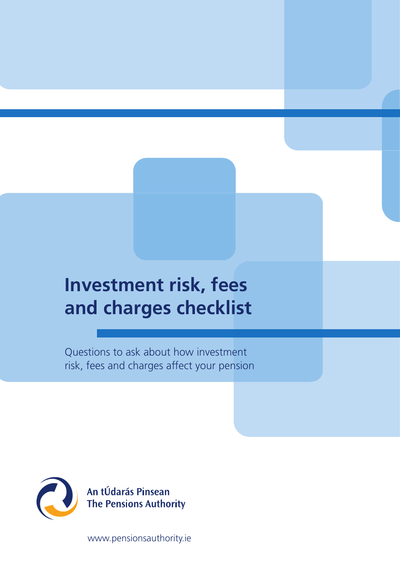# **Investment risk, fees and charges checklist**

Questions to ask about how investment risk, fees and charges affect your pension



An tÚdarás Pinsean<br>The Pensions Authority

www.pensionsauthority.ie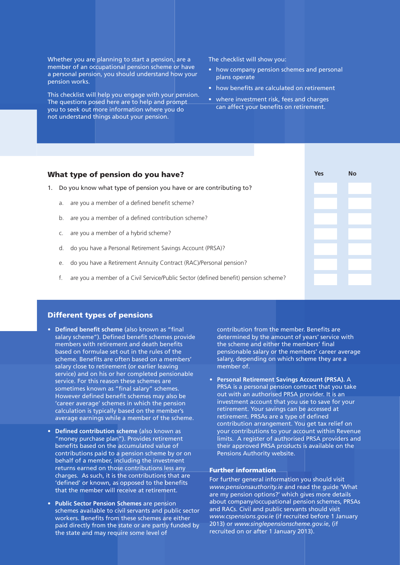Whether you are planning to start a pension, are a member of an occupational pension scheme or have a personal pension, you should understand how your pension works.

This checklist will help you engage with your pension. The questions posed here are to help and prompt you to seek out more information where you do not understand things about your pension.

The checklist will show you:

- how company pension schemes and personal plans operate
- how benefits are calculated on retirement
- where investment risk, fees and charges can affect your benefits on retirement.

# What type of pension do you have? 1. Do you know what type of pension you have or are contributing to? a. are you a member of a defined benefit scheme? b. are you a member of a defined contribution scheme? c. are you a member of a hybrid scheme? d. do you have a Personal Retirement Savings Account (PRSA)? e. do you have a Retirement Annuity Contract (RAC)/Personal pension? f. are you a member of a Civil Service/Public Sector (defined benefit) pension scheme? **Yes No**

## Different types of pensions

- Defined benefit scheme (also known as "final salary scheme"). Defined benefit schemes provide members with retirement and death benefits based on formulae set out in the rules of the scheme. Benefits are often based on a members' salary close to retirement (or earlier leaving service) and on his or her completed pensionable service. For this reason these schemes are sometimes known as "final salary" schemes. However defined benefit schemes may also be 'career average' schemes in which the pension calculation is typically based on the member's average earnings while a member of the scheme.
- **• Defined contribution scheme** (also known as "money purchase plan"). Provides retirement benefits based on the accumulated value of contributions paid to a pension scheme by or on behalf of a member, including the investment returns earned on those contributions less any charges. As such, it is the contributions that are 'defined' or known, as opposed to the benefits that the member will receive at retirement.
- **• Public Sector Pension Schemes** are pension schemes available to civil servants and public sector workers. Benefits from these schemes are either paid directly from the state or are partly funded by the state and may require some level of

contribution from the member. Benefits are determined by the amount of years' service with the scheme and either the members' final pensionable salary or the members' career average salary, depending on which scheme they are a member of.

**• Personal Retirement Savings Account (PRSA).** A PRSA is a personal pension contract that you take out with an authorised PRSA provider. It is an investment account that you use to save for your retirement. Your savings can be accessed at retirement. PRSAs are a type of defined contribution arrangement. You get tax relief on your contributions to your account within Revenue limits. A register of authorised PRSA providers and their approved PRSA products is available on the Pensions Authority website.

#### Further information

For further general information you should visit *www.pensionsauthority.ie* and read the guide 'What are my pension options?' which gives more details about company/occupational pension schemes, PRSAs and RACs. Civil and public servants should visit *www.cspensions.gov.ie* (if recruited before 1 January 2013) or *www.singlepensionscheme.gov.ie*, (if recruited on or after 1 January 2013).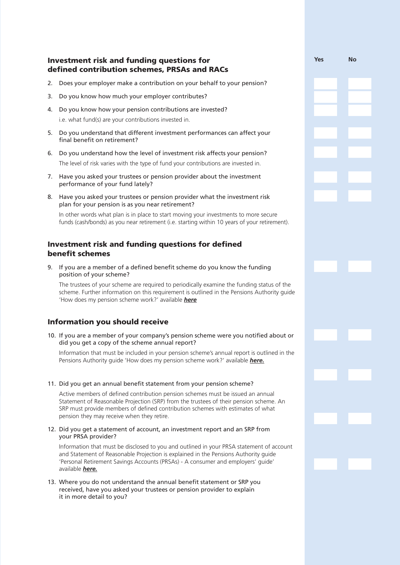# Investment risk and funding questions for defined contribution schemes, PRSAs and RACs

2. Does your employer make a contribution on your behalf to your pension?

**Yes No**

- 3. Do you know how much your employer contributes?
- 4. Do you know how your pension contributions are invested? i.e. what fund(s) are your contributions invested in.
- 5. Do you understand that different investment performances can affect your final benefit on retirement?
- 6. Do you understand how the level of investment risk affects your pension? The level of risk varies with the type of fund your contributions are invested in.
- 7. Have you asked your trustees or pension provider about the investment performance of your fund lately?
- 8. Have you asked your trustees or pension provider what the investment risk plan for your pension is as you near retirement?

In other words what plan is in place to start moving your investments to more secure funds (cash/bonds) as you near retirement (i.e. starting within 10 years of your retirement).

# Investment risk and funding questions for defined benefit schemes

9. If you are a member of a defined benefit scheme do you know the funding position of your scheme?

The trustees of your scheme are required to periodically examine the funding status of the scheme. Further information on this requirement is outlined in the Pensions Authority guide 'How does my pension scheme work?' available *here*

# Information you should receive

10. If you are a member of your company's pension scheme were you notified about or did you get a copy of the scheme annual report?

Information that must be included in your pension scheme's annual report is outlined in the Pensions Authority guide 'How does my pension scheme work?' available *here.*

#### 11. Did you get an annual benefit statement from your pension scheme?

Active members of defined contribution pension schemes must be issued an annual Statement of Reasonable Projection (SRP) from the trustees of their pension scheme. An SRP must provide members of defined contribution schemes with estimates of what pension they may receive when they retire.

#### 12. Did you get a statement of account, an investment report and an SRP from your PRSA provider?

Information that must be disclosed to you and outlined in your PRSA statement of account and Statement of Reasonable Projection is explained in the Pensions Authority guide 'Personal Retirement Savings Accounts (PRSAs) - A consumer and employers' guide' available *here.*

13. Where you do not understand the annual benefit statement or SRP you received, have you asked your trustees or pension provider to explain it in more detail to you?